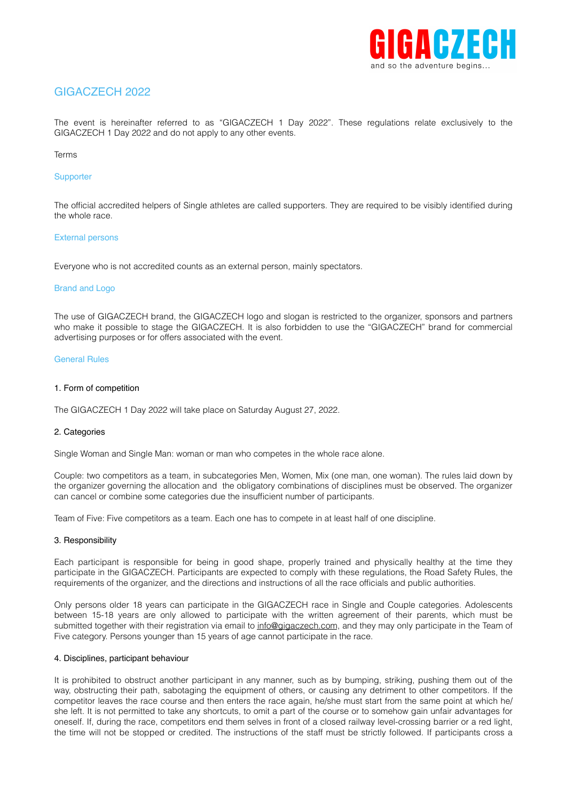

# GIGACZECH 2022

The event is hereinafter referred to as "GIGACZECH 1 Day 2022". These regulations relate exclusively to the GIGACZECH 1 Day 2022 and do not apply to any other events.

#### Terms

## **Supporter**

The official accredited helpers of Single athletes are called supporters. They are required to be visibly identified during the whole race.

#### External persons

Everyone who is not accredited counts as an external person, mainly spectators.

#### Brand and Logo

The use of GIGACZECH brand, the GIGACZECH logo and slogan is restricted to the organizer, sponsors and partners who make it possible to stage the GIGACZECH. It is also forbidden to use the "GIGACZECH" brand for commercial advertising purposes or for offers associated with the event.

#### General Rules

#### 1. Form of competition

The GIGACZECH 1 Day 2022 will take place on Saturday August 27, 2022.

#### 2. Categories

Single Woman and Single Man: woman or man who competes in the whole race alone.

Couple: two competitors as a team, in subcategories Men, Women, Mix (one man, one woman). The rules laid down by the organizer governing the allocation and the obligatory combinations of disciplines must be observed. The organizer can cancel or combine some categories due the insufficient number of participants.

Team of Five: Five competitors as a team. Each one has to compete in at least half of one discipline.

#### 3. Responsibility

Each participant is responsible for being in good shape, properly trained and physically healthy at the time they participate in the GIGACZECH. Participants are expected to comply with these regulations, the Road Safety Rules, the requirements of the organizer, and the directions and instructions of all the race officials and public authorities.

Only persons older 18 years can participate in the GIGACZECH race in Single and Couple categories. Adolescents between 15-18 years are only allowed to participate with the written agreement of their parents, which must be submitted together with their registration via email to [info@gigaczech.com](mailto:info@gigaczech.com), and they may only participate in the Team of Five category. Persons younger than 15 years of age cannot participate in the race.

#### 4. Disciplines, participant behaviour

It is prohibited to obstruct another participant in any manner, such as by bumping, striking, pushing them out of the way, obstructing their path, sabotaging the equipment of others, or causing any detriment to other competitors. If the competitor leaves the race course and then enters the race again, he/she must start from the same point at which he/ she left. It is not permitted to take any shortcuts, to omit a part of the course or to somehow gain unfair advantages for oneself. If, during the race, competitors end them selves in front of a closed railway level-crossing barrier or a red light, the time will not be stopped or credited. The instructions of the staff must be strictly followed. If participants cross a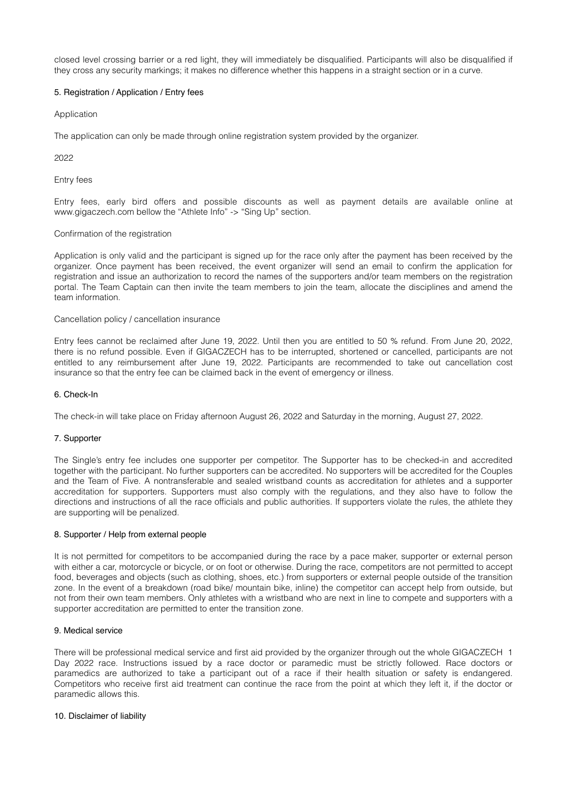closed level crossing barrier or a red light, they will immediately be disqualified. Participants will also be disqualified if they cross any security markings; it makes no difference whether this happens in a straight section or in a curve.

## 5. Registration / Application / Entry fees

Application

The application can only be made through online registration system provided by the organizer.

2022

Entry fees

Entry fees, early bird offers and possible discounts as well as payment details are available online at www.gigaczech.com bellow the "Athlete Info" -> "Sing Up" section.

## Confirmation of the registration

Application is only valid and the participant is signed up for the race only after the payment has been received by the organizer. Once payment has been received, the event organizer will send an email to confirm the application for registration and issue an authorization to record the names of the supporters and/or team members on the registration portal. The Team Captain can then invite the team members to join the team, allocate the disciplines and amend the team information.

#### Cancellation policy / cancellation insurance

Entry fees cannot be reclaimed after June 19, 2022. Until then you are entitled to 50 % refund. From June 20, 2022, there is no refund possible. Even if GIGACZECH has to be interrupted, shortened or cancelled, participants are not entitled to any reimbursement after June 19, 2022. Participants are recommended to take out cancellation cost insurance so that the entry fee can be claimed back in the event of emergency or illness.

## 6. Check-In

The check-in will take place on Friday afternoon August 26, 2022 and Saturday in the morning, August 27, 2022.

#### 7. Supporter

The Single's entry fee includes one supporter per competitor. The Supporter has to be checked-in and accredited together with the participant. No further supporters can be accredited. No supporters will be accredited for the Couples and the Team of Five. A nontransferable and sealed wristband counts as accreditation for athletes and a supporter accreditation for supporters. Supporters must also comply with the regulations, and they also have to follow the directions and instructions of all the race officials and public authorities. If supporters violate the rules, the athlete they are supporting will be penalized.

# 8. Supporter / Help from external people

It is not permitted for competitors to be accompanied during the race by a pace maker, supporter or external person with either a car, motorcycle or bicycle, or on foot or otherwise. During the race, competitors are not permitted to accept food, beverages and objects (such as clothing, shoes, etc.) from supporters or external people outside of the transition zone. In the event of a breakdown (road bike/ mountain bike, inline) the competitor can accept help from outside, but not from their own team members. Only athletes with a wristband who are next in line to compete and supporters with a supporter accreditation are permitted to enter the transition zone.

## 9. Medical service

There will be professional medical service and first aid provided by the organizer through out the whole GIGACZECH 1 Day 2022 race. Instructions issued by a race doctor or paramedic must be strictly followed. Race doctors or paramedics are authorized to take a participant out of a race if their health situation or safety is endangered. Competitors who receive first aid treatment can continue the race from the point at which they left it, if the doctor or paramedic allows this.

#### 10. Disclaimer of liability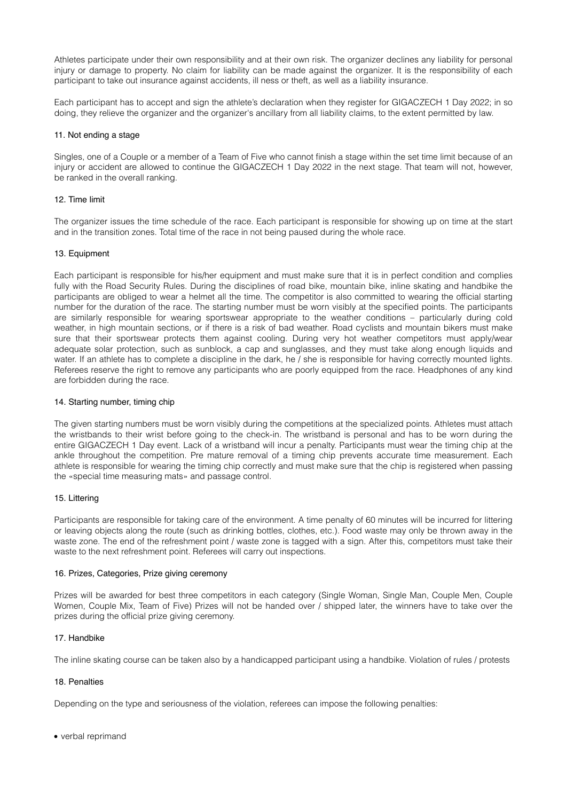Athletes participate under their own responsibility and at their own risk. The organizer declines any liability for personal injury or damage to property. No claim for liability can be made against the organizer. It is the responsibility of each participant to take out insurance against accidents, ill ness or theft, as well as a liability insurance.

Each participant has to accept and sign the athlete's declaration when they register for GIGACZECH 1 Day 2022; in so doing, they relieve the organizer and the organizer's ancillary from all liability claims, to the extent permitted by law.

## 11. Not ending a stage

Singles, one of a Couple or a member of a Team of Five who cannot finish a stage within the set time limit because of an injury or accident are allowed to continue the GIGACZECH 1 Day 2022 in the next stage. That team will not, however, be ranked in the overall ranking.

## 12. Time limit

The organizer issues the time schedule of the race. Each participant is responsible for showing up on time at the start and in the transition zones. Total time of the race in not being paused during the whole race.

## 13. Equipment

Each participant is responsible for his/her equipment and must make sure that it is in perfect condition and complies fully with the Road Security Rules. During the disciplines of road bike, mountain bike, inline skating and handbike the participants are obliged to wear a helmet all the time. The competitor is also committed to wearing the official starting number for the duration of the race. The starting number must be worn visibly at the specified points. The participants are similarly responsible for wearing sportswear appropriate to the weather conditions – particularly during cold weather, in high mountain sections, or if there is a risk of bad weather. Road cyclists and mountain bikers must make sure that their sportswear protects them against cooling. During very hot weather competitors must apply/wear adequate solar protection, such as sunblock, a cap and sunglasses, and they must take along enough liquids and water. If an athlete has to complete a discipline in the dark, he / she is responsible for having correctly mounted lights. Referees reserve the right to remove any participants who are poorly equipped from the race. Headphones of any kind are forbidden during the race.

## 14. Starting number, timing chip

The given starting numbers must be worn visibly during the competitions at the specialized points. Athletes must attach the wristbands to their wrist before going to the check-in. The wristband is personal and has to be worn during the entire GIGACZECH 1 Day event. Lack of a wristband will incur a penalty. Participants must wear the timing chip at the ankle throughout the competition. Pre mature removal of a timing chip prevents accurate time measurement. Each athlete is responsible for wearing the timing chip correctly and must make sure that the chip is registered when passing the «special time measuring mats» and passage control.

#### 15. Littering

Participants are responsible for taking care of the environment. A time penalty of 60 minutes will be incurred for littering or leaving objects along the route (such as drinking bottles, clothes, etc.). Food waste may only be thrown away in the waste zone. The end of the refreshment point / waste zone is tagged with a sign. After this, competitors must take their waste to the next refreshment point. Referees will carry out inspections.

#### 16. Prizes, Categories, Prize giving ceremony

Prizes will be awarded for best three competitors in each category (Single Woman, Single Man, Couple Men, Couple Women, Couple Mix, Team of Five) Prizes will not be handed over / shipped later, the winners have to take over the prizes during the official prize giving ceremony.

#### 17. Handbike

The inline skating course can be taken also by a handicapped participant using a handbike. Violation of rules / protests

## 18. Penalties

Depending on the type and seriousness of the violation, referees can impose the following penalties:

• verbal reprimand